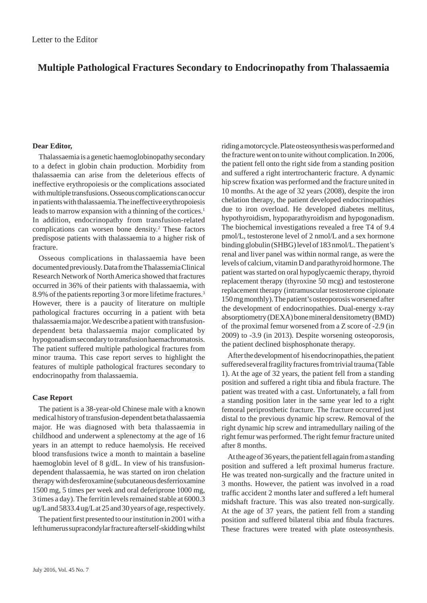# **Multiple Pathological Fractures Secondary to Endocrinopathy from Thalassaemia**

## **Dear Editor,**

Thalassaemia is a genetic haemoglobinopathy secondary to a defect in globin chain production. Morbidity from thalassaemia can arise from the deleterious effects of ineffective erythropoiesis or the complications associated with multiple transfusions. Osseous complications can occur in patients with thalassaemia. The ineffective erythropoiesis leads to marrow expansion with a thinning of the cortices.<sup>1</sup> In addition, endocrinopathy from transfusion-related complications can worsen bone density.<sup>2</sup> These factors predispose patients with thalassaemia to a higher risk of fracture.

Osseous complications in thalassaemia have been documented previously. Data from the Thalassemia Clinical Research Network of North America showed that fractures occurred in 36% of their patients with thalassaemia, with 8.9% of the patients reporting 3 or more lifetime fractures.3 However, there is a paucity of literature on multiple pathological fractures occurring in a patient with beta thalassaemia major. We describe a patient with transfusiondependent beta thalassaemia major complicated by hypogonadism secondary to transfusion haemachromatosis. The patient suffered multiple pathological fractures from minor trauma. This case report serves to highlight the features of multiple pathological fractures secondary to endocrinopathy from thalassaemia.

## **Case Report**

The patient is a 38-year-old Chinese male with a known medical history of transfusion-dependent beta thalassaemia major. He was diagnosed with beta thalassaemia in childhood and underwent a splenectomy at the age of 16 years in an attempt to reduce haemolysis. He received blood transfusions twice a month to maintain a baseline haemoglobin level of 8 g/dL. In view of his transfusiondependent thalassaemia, he was started on iron chelation therapy with desferoxamine (subcutaneous desferrioxamine 1500 mg, 5 times per week and oral deferiprone 1000 mg, 3 times a day). The ferritin levels remained stable at 6000.3 ug/L and 5833.4 ug/L at 25 and 30 years of age, respectively.

The patient first presented to our institution in 2001 with a left humerus supracondylar fracture after self-skidding whilst

riding a motorcycle. Plate osteosynthesis was performed and the fracture went on to unite without complication. In 2006, the patient fell onto the right side from a standing position and suffered a right intertrochanteric fracture. A dynamic hip screw fixation was performed and the fracture united in 10 months. At the age of 32 years (2008), despite the iron chelation therapy, the patient developed endocrinopathies due to iron overload. He developed diabetes mellitus, hypothyroidism, hypoparathyroidism and hypogonadism. The biochemical investigations revealed a free T4 of 9.4 pmol/L, testosterone level of 2 nmol/L and a sex hormone binding globulin (SHBG) level of 183 nmol/L. The patient's renal and liver panel was within normal range, as were the levels of calcium, vitamin D and parathyroid hormone. The patient was started on oral hypoglycaemic therapy, thyroid replacement therapy (thyroxine 50 mcg) and testosterone replacement therapy (intramuscular testosterone cipionate 150 mg monthly). The patient's osteoporosis worsened after the development of endocrinopathies. Dual-energy x-ray absorptiometry (DEXA) bone mineral densitometry (BMD) of the proximal femur worsened from a Z score of -2.9 (in 2009) to -3.9 (in 2013). Despite worsening osteoporosis, the patient declined bisphosphonate therapy.

After the development of his endocrinopathies, the patient suffered several fragility fractures from trivial trauma (Table 1). At the age of 32 years, the patient fell from a standing position and suffered a right tibia and fibula fracture. The patient was treated with a cast. Unfortunately, a fall from a standing position later in the same year led to a right femoral periprosthetic fracture. The fracture occurred just distal to the previous dynamic hip screw. Removal of the right dynamic hip screw and intramedullary nailing of the right femur was performed. The right femur fracture united after 8 months.

At the age of 36 years, the patient fell again from a standing position and suffered a left proximal humerus fracture. He was treated non-surgically and the fracture united in 3 months. However, the patient was involved in a road traffic accident 2 months later and suffered a left humeral midshaft fracture. This was also treated non-surgically. At the age of 37 years, the patient fell from a standing position and suffered bilateral tibia and fibula fractures. These fractures were treated with plate osteosynthesis.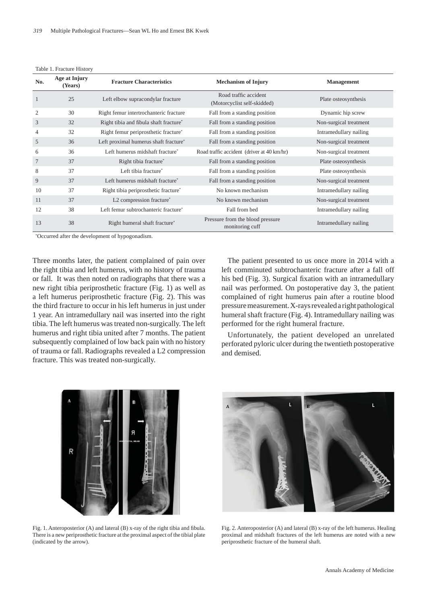| No.            | Age at Injury<br>(Years) | <b>Fracture Characteristics</b>             | <b>Mechanism of Injury</b>                           | <b>Management</b>      |
|----------------|--------------------------|---------------------------------------------|------------------------------------------------------|------------------------|
|                | 25                       | Left elbow supracondylar fracture           | Road traffic accident<br>(Motorcyclist self-skidded) | Plate osteosynthesis   |
| $\overline{c}$ | 30                       | Right femur intertrochanteric fracture      | Fall from a standing position                        | Dynamic hip screw      |
| 3              | 32                       | Right tibia and fibula shaft fracture*      | Fall from a standing position                        | Non-surgical treatment |
| 4              | 32                       | Right femur periprosthetic fracture*        | Fall from a standing position                        | Intramedullary nailing |
| 5              | 36                       | Left proximal humerus shaft fracture*       | Fall from a standing position                        | Non-surgical treatment |
| 6              | 36                       | Left humerus midshaft fracture <sup>*</sup> | Road traffic accident (driver at 40 km/hr)           | Non-surgical treatment |
| 7              | 37                       | Right tibia fracture*                       | Fall from a standing position                        | Plate osteosynthesis   |
| 8              | 37                       | Left tibia fracture*                        | Fall from a standing position                        | Plate osteosynthesis   |
| 9              | 37                       | Left humerus midshaft fracture <sup>*</sup> | Fall from a standing position                        | Non-surgical treatment |
| 10             | 37                       | Right tibia periprosthetic fracture*        | No known mechanism                                   | Intramedullary nailing |
| 11             | 37                       | L2 compression fracture*                    | No known mechanism                                   | Non-surgical treatment |
| 12             | 38                       | Left femur subtrochanteric fracture*        | Fall from bed                                        | Intramedullary nailing |
| 13             | 38                       | Right humeral shaft fracture*               | Pressure from the blood pressure<br>monitoring cuff  | Intramedullary nailing |

Table 1. Fracture History

\* Occurred after the development of hypogonadism.

Three months later, the patient complained of pain over the right tibia and left humerus, with no history of trauma or fall. It was then noted on radiographs that there was a new right tibia periprosthetic fracture (Fig. 1) as well as a left humerus periprosthetic fracture (Fig. 2). This was the third fracture to occur in his left humerus in just under 1 year. An intramedullary nail was inserted into the right tibia. The left humerus was treated non-surgically. The left humerus and right tibia united after 7 months. The patient subsequently complained of low back pain with no history of trauma or fall. Radiographs revealed a L2 compression fracture. This was treated non-surgically.

The patient presented to us once more in 2014 with a left comminuted subtrochanteric fracture after a fall off his bed (Fig. 3). Surgical fixation with an intramedullary nail was performed. On postoperative day 3, the patient complained of right humerus pain after a routine blood pressure measurement. X-rays revealed a right pathological humeral shaft fracture (Fig. 4). Intramedullary nailing was performed for the right humeral fracture.

Unfortunately, the patient developed an unrelated perforated pyloric ulcer during the twentieth postoperative and demised.



Fig. 1. Anteroposterior  $(A)$  and lateral  $(B)$  x-ray of the right tibia and fibula. There is a new periprosthetic fracture at the proximal aspect of the tibial plate (indicated by the arrow).



Fig. 2. Anteroposterior (A) and lateral (B) x-ray of the left humerus. Healing proximal and midshaft fractures of the left humerus are noted with a new periprosthetic fracture of the humeral shaft.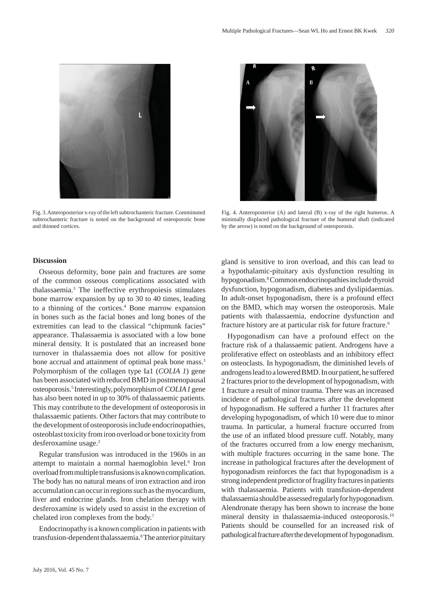

Fig. 3. Anteroposterior x-ray of the left subtrochanteric fracture. Comminuted subtrochanteric fracture is noted on the background of osteoporotic bone and thinned cortices.



Fig. 4. Anteroposterior (A) and lateral (B) x-ray of the right humerus. A minimally displaced pathological fracture of the humeral shaft (indicated by the arrow) is noted on the background of osteoporosis.

#### **Discussion**

Osseous deformity, bone pain and fractures are some of the common osseous complications associated with thalassaemia.3 The ineffective erythropoiesis stimulates bone marrow expansion by up to 30 to 40 times, leading to a thinning of the cortices.<sup>4</sup> Bone marrow expansion in bones such as the facial bones and long bones of the extremities can lead to the classical "chipmunk facies" appearance. Thalassaemia is associated with a low bone mineral density. It is postulated that an increased bone turnover in thalassaemia does not allow for positive bone accrual and attainment of optimal peak bone mass.<sup>3</sup> Polymorphism of the collagen type Ia1 (*COLIA 1*) gene has been associated with reduced BMD in postmenopausal osteoporosis.5 Interestingly, polymorphism of *COLIA 1* gene has also been noted in up to 30% of thalassaemic patients. This may contribute to the development of osteoporosis in thalassaemic patients. Other factors that may contribute to the development of osteoporosis include endocrinopathies, osteoblast toxicity from iron overload or bone toxicity from desferoxamine usage.<sup>2</sup>

Regular transfusion was introduced in the 1960s in an attempt to maintain a normal haemoglobin level.<sup>6</sup> Iron overload from multiple transfusions is a known complication. The body has no natural means of iron extraction and iron accumulation can occur in regions such as the myocardium, liver and endocrine glands. Iron chelation therapy with desferoxamine is widely used to assist in the excretion of chelated iron complexes from the body.7

Endocrinopathy is a known complication in patients with transfusion-dependent thalassaemia.8 The anterior pituitary gland is sensitive to iron overload, and this can lead to a hypothalamic-pituitary axis dysfunction resulting in hypogonadism.8 Common endocrinopathies include thyroid dysfunction, hypogonadism, diabetes and dyslipidaemias. In adult-onset hypogonadism, there is a profound effect on the BMD, which may worsen the osteoporosis. Male patients with thalassaemia, endocrine dysfunction and fracture history are at particular risk for future fracture.<sup>9</sup>

Hypogonadism can have a profound effect on the fracture risk of a thalassaemic patient. Androgens have a proliferative effect on osteoblasts and an inhibitory effect on osteoclasts. In hypogonadism, the diminished levels of androgens lead to a lowered BMD. In our patient, he suffered 2 fractures prior to the development of hypogonadism, with 1 fracture a result of minor trauma. There was an increased incidence of pathological fractures after the development of hypogonadism. He suffered a further 11 fractures after developing hypogonadism, of which 10 were due to minor trauma. In particular, a humeral fracture occurred from the use of an inflated blood pressure cuff. Notably, many of the fractures occurred from a low energy mechanism, with multiple fractures occurring in the same bone. The increase in pathological fractures after the development of hypogonadism reinforces the fact that hypogonadism is a strong independent predictor of fragility fractures in patients with thalassaemia. Patients with transfusion-dependent thalassaemia should be assessed regularly for hypogonadism. Alendronate therapy has been shown to increase the bone mineral density in thalassaemia-induced osteoporosis.<sup>10</sup> Patients should be counselled for an increased risk of pathological fracture after the development of hypogonadism.